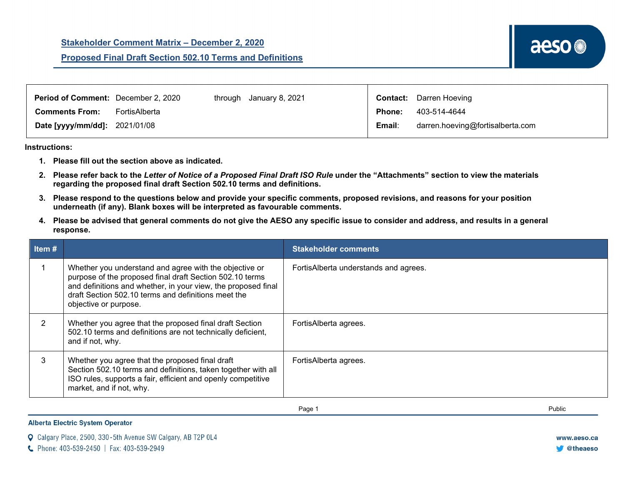| Period of Comment: December 2, 2020  |               | through January 8, 2021 |               | <b>Contact:</b> Darren Hoeving   |
|--------------------------------------|---------------|-------------------------|---------------|----------------------------------|
| <b>Comments From:</b>                | FortisAlberta |                         | <b>Phone:</b> | 403-514-4644                     |
| <b>Date [yyyy/mm/dd]: 2021/01/08</b> |               |                         | Email:        | darren.hoeving@fortisalberta.com |

**Instructions:** 

- **1. Please fill out the section above as indicated.**
- **2. Please refer back to the** *Letter of Notice of a Proposed Final Draft ISO Rule* **under the "Attachments" section to view the materials regarding the proposed final draft Section 502.10 terms and definitions.**
- **3. Please respond to the questions below and provide your specific comments, proposed revisions, and reasons for your position underneath (if any). Blank boxes will be interpreted as favourable comments.**
- **4. Please be advised that general comments do not give the AESO any specific issue to consider and address, and results in a general response.**

| Item $#$ |                                                                                                                                                                                                                                                                     | <b>Stakeholder comments</b>           |
|----------|---------------------------------------------------------------------------------------------------------------------------------------------------------------------------------------------------------------------------------------------------------------------|---------------------------------------|
|          | Whether you understand and agree with the objective or<br>purpose of the proposed final draft Section 502.10 terms<br>and definitions and whether, in your view, the proposed final<br>draft Section 502.10 terms and definitions meet the<br>objective or purpose. | FortisAlberta understands and agrees. |
|          | Whether you agree that the proposed final draft Section<br>502.10 terms and definitions are not technically deficient,<br>and if not, why.                                                                                                                          | FortisAlberta agrees.                 |
|          | Whether you agree that the proposed final draft<br>Section 502.10 terms and definitions, taken together with all<br>ISO rules, supports a fair, efficient and openly competitive<br>market, and if not, why.                                                        | FortisAlberta agrees.                 |

Page 1 Public

**Alberta Electric System Operator** 

|  | <b>Q</b> Calgary Place, 2500, 330-5th Avenue SW Calgary, AB T2P 0L4 |  |  |  |  |  |  |  |  |  |  |
|--|---------------------------------------------------------------------|--|--|--|--|--|--|--|--|--|--|
|--|---------------------------------------------------------------------|--|--|--|--|--|--|--|--|--|--|

C Phone: 403-539-2450 | Fax: 403-539-2949